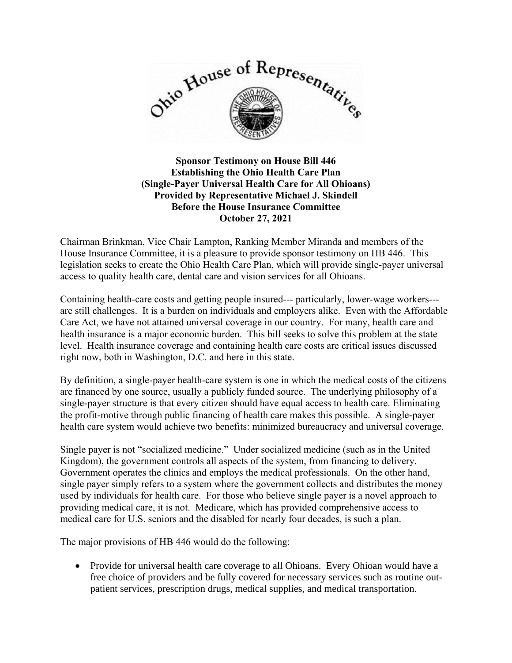

## **Sponsor Testimony on House Bill 446 Establishing the Ohio Health Care Plan (Single-Payer Universal Health Care for All Ohioans) Provided by Representative Michael J. Skindell Before the House Insurance Committee October 27, 2021**

Chairman Brinkman, Vice Chair Lampton, Ranking Member Miranda and members of the House Insurance Committee, it is a pleasure to provide sponsor testimony on HB 446. This legislation seeks to create the Ohio Health Care Plan, which will provide single-payer universal access to quality health care, dental care and vision services for all Ohioans.

Containing health-care costs and getting people insured--- particularly, lower-wage workers-- are still challenges. It is a burden on individuals and employers alike. Even with the Affordable Care Act, we have not attained universal coverage in our country. For many, health care and health insurance is a major economic burden. This bill seeks to solve this problem at the state level. Health insurance coverage and containing health care costs are critical issues discussed right now, both in Washington, D.C. and here in this state.

By definition, a single-payer health-care system is one in which the medical costs of the citizens are financed by one source, usually a publicly funded source. The underlying philosophy of a single-payer structure is that every citizen should have equal access to health care. Eliminating the profit-motive through public financing of health care makes this possible. A single-payer health care system would achieve two benefits: minimized bureaucracy and universal coverage.

Single payer is not "socialized medicine." Under socialized medicine (such as in the United Kingdom), the government controls all aspects of the system, from financing to delivery. Government operates the clinics and employs the medical professionals. On the other hand, single payer simply refers to a system where the government collects and distributes the money used by individuals for health care. For those who believe single payer is a novel approach to providing medical care, it is not. Medicare, which has provided comprehensive access to medical care for U.S. seniors and the disabled for nearly four decades, is such a plan.

The major provisions of HB 446 would do the following:

• Provide for universal health care coverage to all Ohioans. Every Ohioan would have a free choice of providers and be fully covered for necessary services such as routine outpatient services, prescription drugs, medical supplies, and medical transportation.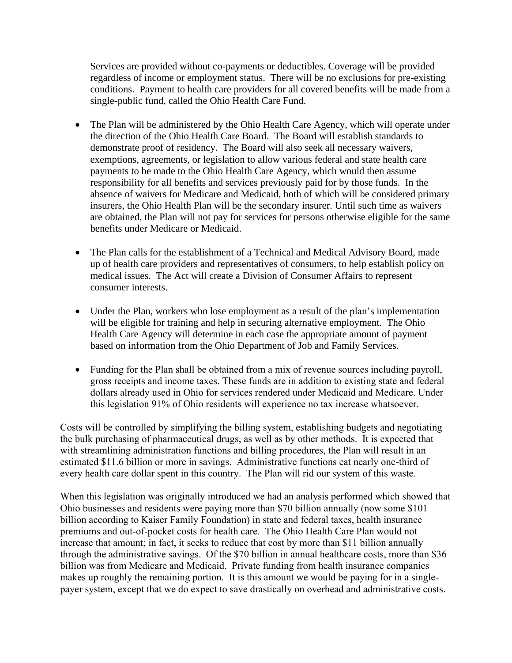Services are provided without co-payments or deductibles. Coverage will be provided regardless of income or employment status. There will be no exclusions for pre-existing conditions. Payment to health care providers for all covered benefits will be made from a single-public fund, called the Ohio Health Care Fund.

- The Plan will be administered by the Ohio Health Care Agency, which will operate under the direction of the Ohio Health Care Board. The Board will establish standards to demonstrate proof of residency. The Board will also seek all necessary waivers, exemptions, agreements, or legislation to allow various federal and state health care payments to be made to the Ohio Health Care Agency, which would then assume responsibility for all benefits and services previously paid for by those funds. In the absence of waivers for Medicare and Medicaid, both of which will be considered primary insurers, the Ohio Health Plan will be the secondary insurer. Until such time as waivers are obtained, the Plan will not pay for services for persons otherwise eligible for the same benefits under Medicare or Medicaid.
- The Plan calls for the establishment of a Technical and Medical Advisory Board, made up of health care providers and representatives of consumers, to help establish policy on medical issues. The Act will create a Division of Consumer Affairs to represent consumer interests.
- Under the Plan, workers who lose employment as a result of the plan's implementation will be eligible for training and help in securing alternative employment. The Ohio Health Care Agency will determine in each case the appropriate amount of payment based on information from the Ohio Department of Job and Family Services.
- Funding for the Plan shall be obtained from a mix of revenue sources including payroll, gross receipts and income taxes. These funds are in addition to existing state and federal dollars already used in Ohio for services rendered under Medicaid and Medicare. Under this legislation 91% of Ohio residents will experience no tax increase whatsoever.

Costs will be controlled by simplifying the billing system, establishing budgets and negotiating the bulk purchasing of pharmaceutical drugs, as well as by other methods. It is expected that with streamlining administration functions and billing procedures, the Plan will result in an estimated \$11.6 billion or more in savings. Administrative functions eat nearly one-third of every health care dollar spent in this country. The Plan will rid our system of this waste.

When this legislation was originally introduced we had an analysis performed which showed that Ohio businesses and residents were paying more than \$70 billion annually (now some \$101 billion according to Kaiser Family Foundation) in state and federal taxes, health insurance premiums and out-of-pocket costs for health care. The Ohio Health Care Plan would not increase that amount; in fact, it seeks to reduce that cost by more than \$11 billion annually through the administrative savings. Of the \$70 billion in annual healthcare costs, more than \$36 billion was from Medicare and Medicaid. Private funding from health insurance companies makes up roughly the remaining portion. It is this amount we would be paying for in a singlepayer system, except that we do expect to save drastically on overhead and administrative costs.